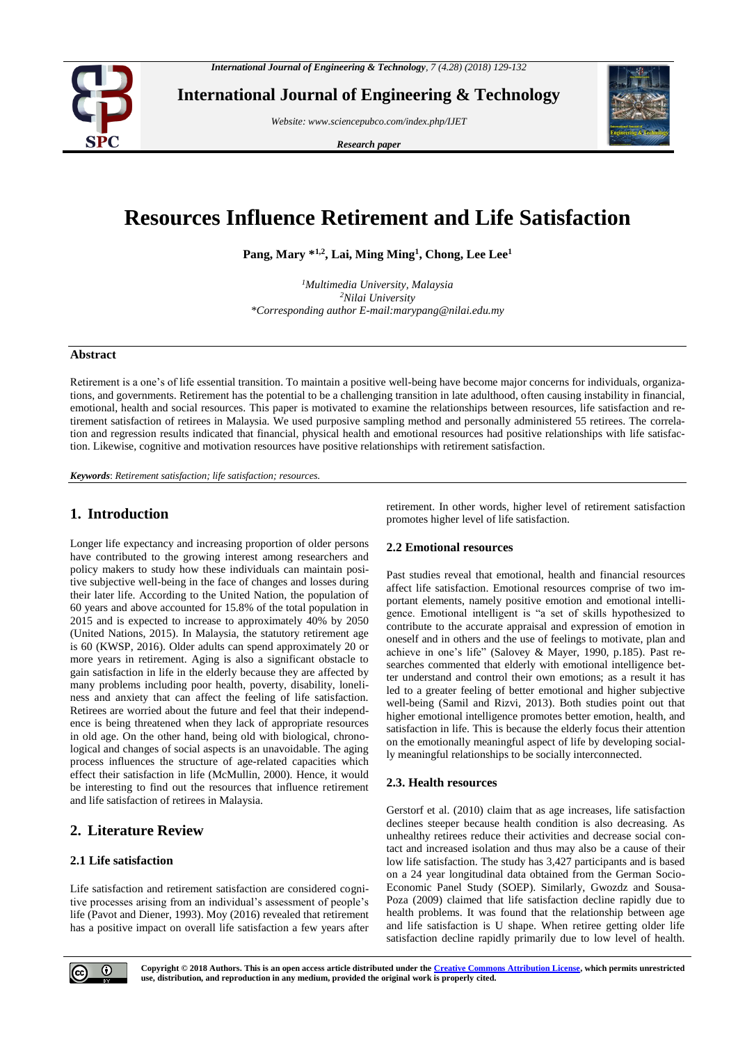

**International Journal of Engineering & Technology**

*Website: [www.sciencepubco.com/index.php/IJET](http://www.sciencepubco.com/index.php/IJET)*

*Research paper*



# **Resources Influence Retirement and Life Satisfaction**

**Pang, Mary \*1,2, Lai, Ming Ming<sup>1</sup> , Chong, Lee Lee<sup>1</sup>**

*<sup>1</sup>Multimedia University, Malaysia <sup>2</sup>Nilai University \*Corresponding author E-mail:marypang@nilai.edu.my*

#### **Abstract**

Retirement is a one's of life essential transition. To maintain a positive well-being have become major concerns for individuals, organizations, and governments. Retirement has the potential to be a challenging transition in late adulthood, often causing instability in financial, emotional, health and social resources. This paper is motivated to examine the relationships between resources, life satisfaction and retirement satisfaction of retirees in Malaysia. We used purposive sampling method and personally administered 55 retirees. The correlation and regression results indicated that financial, physical health and emotional resources had positive relationships with life satisfaction. Likewise, cognitive and motivation resources have positive relationships with retirement satisfaction*.*

*Keywords*: *Retirement satisfaction; life satisfaction; resources.*

## **1. Introduction**

Longer life expectancy and increasing proportion of older persons have contributed to the growing interest among researchers and policy makers to study how these individuals can maintain positive subjective well-being in the face of changes and losses during their later life. According to the United Nation, the population of 60 years and above accounted for 15.8% of the total population in 2015 and is expected to increase to approximately 40% by 2050 (United Nations, 2015). In Malaysia, the statutory retirement age is 60 (KWSP, 2016). Older adults can spend approximately 20 or more years in retirement. Aging is also a significant obstacle to gain satisfaction in life in the elderly because they are affected by many problems including poor health, poverty, disability, loneliness and anxiety that can affect the feeling of life satisfaction. Retirees are worried about the future and feel that their independence is being threatened when they lack of appropriate resources in old age. On the other hand, being old with biological, chronological and changes of social aspects is an unavoidable. The aging process influences the structure of age-related capacities which effect their satisfaction in life (McMullin, 2000). Hence, it would be interesting to find out the resources that influence retirement and life satisfaction of retirees in Malaysia.

## **2. Literature Review**

## **2.1 Life satisfaction**

Life satisfaction and retirement satisfaction are considered cognitive processes arising from an individual's assessment of people's life (Pavot and Diener, 1993). Moy (2016) revealed that retirement has a positive impact on overall life satisfaction a few years after retirement. In other words, higher level of retirement satisfaction promotes higher level of life satisfaction.

### **2.2 Emotional resources**

Past studies reveal that emotional, health and financial resources affect life satisfaction. Emotional resources comprise of two important elements, namely positive emotion and emotional intelligence. Emotional intelligent is "a set of skills hypothesized to contribute to the accurate appraisal and expression of emotion in oneself and in others and the use of feelings to motivate, plan and achieve in one's life" (Salovey & Mayer, 1990, p.185). Past researches commented that elderly with emotional intelligence better understand and control their own emotions; as a result it has led to a greater feeling of better emotional and higher subjective well-being (Samil and Rizvi, 2013). Both studies point out that higher emotional intelligence promotes better emotion, health, and satisfaction in life. This is because the elderly focus their attention on the emotionally meaningful aspect of life by developing socially meaningful relationships to be socially interconnected.

#### **2.3. Health resources**

Gerstorf et al. (2010) claim that as age increases, life satisfaction declines steeper because health condition is also decreasing. As unhealthy retirees reduce their activities and decrease social contact and increased isolation and thus may also be a cause of their low life satisfaction. The study has 3,427 participants and is based on a 24 year longitudinal data obtained from the German Socio-Economic Panel Study (SOEP). Similarly, Gwozdz and Sousa-Poza (2009) claimed that life satisfaction decline rapidly due to health problems. It was found that the relationship between age and life satisfaction is U shape. When retiree getting older life satisfaction decline rapidly primarily due to low level of health.

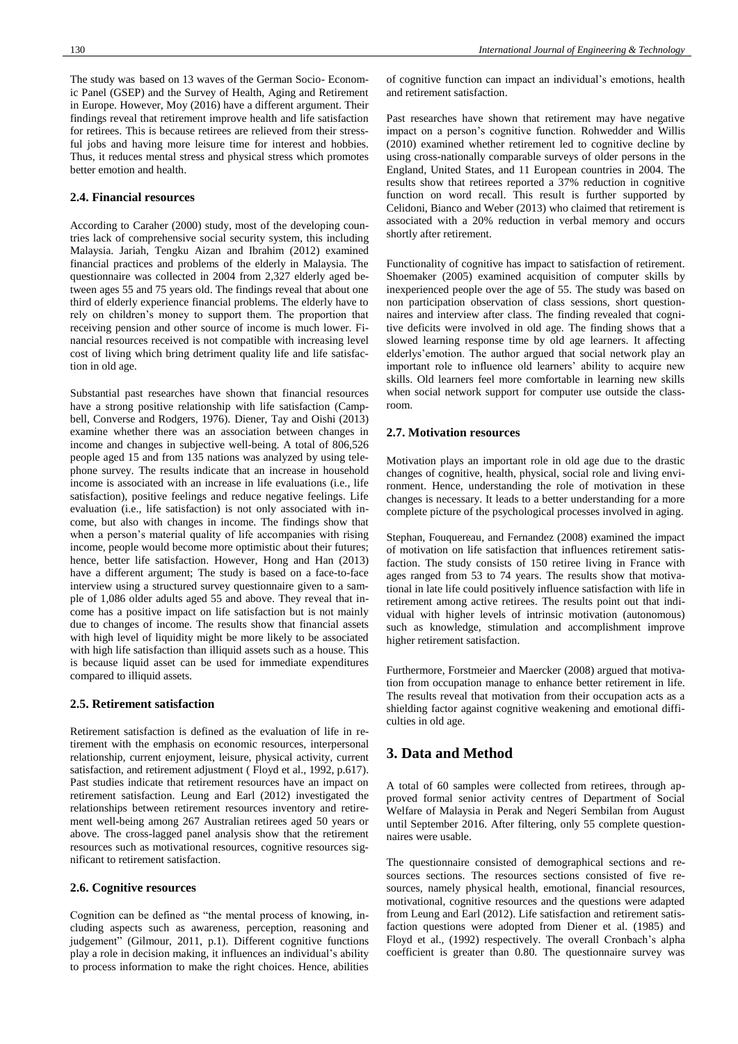The study was based on 13 waves of the German Socio- Economic Panel (GSEP) and the Survey of Health, Aging and Retirement in Europe. However, Moy (2016) have a different argument. Their findings reveal that retirement improve health and life satisfaction for retirees. This is because retirees are relieved from their stressful jobs and having more leisure time for interest and hobbies. Thus, it reduces mental stress and physical stress which promotes better emotion and health.

#### **2.4. Financial resources**

According to Caraher (2000) study, most of the developing countries lack of comprehensive social security system, this including Malaysia. Jariah, Tengku Aizan and Ibrahim (2012) examined financial practices and problems of the elderly in Malaysia. The questionnaire was collected in 2004 from 2,327 elderly aged between ages 55 and 75 years old. The findings reveal that about one third of elderly experience financial problems. The elderly have to rely on children's money to support them. The proportion that receiving pension and other source of income is much lower. Financial resources received is not compatible with increasing level cost of living which bring detriment quality life and life satisfaction in old age.

Substantial past researches have shown that financial resources have a strong positive relationship with life satisfaction (Campbell, Converse and Rodgers, 1976). Diener, Tay and Oishi (2013) examine whether there was an association between changes in income and changes in subjective well-being. A total of 806,526 people aged 15 and from 135 nations was analyzed by using telephone survey. The results indicate that an increase in household income is associated with an increase in life evaluations (i.e., life satisfaction), positive feelings and reduce negative feelings. Life evaluation (i.e., life satisfaction) is not only associated with income, but also with changes in income. The findings show that when a person's material quality of life accompanies with rising income, people would become more optimistic about their futures; hence, better life satisfaction. However, Hong and Han (2013) have a different argument; The study is based on a face-to-face interview using a structured survey questionnaire given to a sample of 1,086 older adults aged 55 and above. They reveal that income has a positive impact on life satisfaction but is not mainly due to changes of income. The results show that financial assets with high level of liquidity might be more likely to be associated with high life satisfaction than illiquid assets such as a house. This is because liquid asset can be used for immediate expenditures compared to illiquid assets.

#### **2.5. Retirement satisfaction**

Retirement satisfaction is defined as the evaluation of life in retirement with the emphasis on economic resources, interpersonal relationship, current enjoyment, leisure, physical activity, current satisfaction, and retirement adjustment ( Floyd et al., 1992, p.617). Past studies indicate that retirement resources have an impact on retirement satisfaction. Leung and Earl (2012) investigated the relationships between retirement resources inventory and retirement well-being among 267 Australian retirees aged 50 years or above. The cross-lagged panel analysis show that the retirement resources such as motivational resources, cognitive resources significant to retirement satisfaction.

#### **2.6. Cognitive resources**

Cognition can be defined as "the mental process of knowing, including aspects such as awareness, perception, reasoning and judgement" (Gilmour, 2011, p.1). Different cognitive functions play a role in decision making, it influences an individual's ability to process information to make the right choices. Hence, abilities

of cognitive function can impact an individual's emotions, health and retirement satisfaction.

Past researches have shown that retirement may have negative impact on a person's cognitive function. Rohwedder and Willis (2010) examined whether retirement led to cognitive decline by using cross-nationally comparable surveys of older persons in the England, United States, and 11 European countries in 2004. The results show that retirees reported a 37% reduction in cognitive function on word recall. This result is further supported by Celidoni, Bianco and Weber (2013) who claimed that retirement is associated with a 20% reduction in verbal memory and occurs shortly after retirement.

Functionality of cognitive has impact to satisfaction of retirement. Shoemaker (2005) examined acquisition of computer skills by inexperienced people over the age of 55. The study was based on non participation observation of class sessions, short questionnaires and interview after class. The finding revealed that cognitive deficits were involved in old age. The finding shows that a slowed learning response time by old age learners. It affecting elderlys'emotion. The author argued that social network play an important role to influence old learners' ability to acquire new skills. Old learners feel more comfortable in learning new skills when social network support for computer use outside the classroom.

#### **2.7. Motivation resources**

Motivation plays an important role in old age due to the drastic changes of cognitive, health, physical, social role and living environment. Hence, understanding the role of motivation in these changes is necessary. It leads to a better understanding for a more complete picture of the psychological processes involved in aging.

Stephan, Fouquereau, and Fernandez (2008) examined the impact of motivation on life satisfaction that influences retirement satisfaction. The study consists of 150 retiree living in France with ages ranged from 53 to 74 years. The results show that motivational in late life could positively influence satisfaction with life in retirement among active retirees. The results point out that individual with higher levels of intrinsic motivation (autonomous) such as knowledge, stimulation and accomplishment improve higher retirement satisfaction.

Furthermore, Forstmeier and Maercker (2008) argued that motivation from occupation manage to enhance better retirement in life. The results reveal that motivation from their occupation acts as a shielding factor against cognitive weakening and emotional difficulties in old age.

## **3. Data and Method**

A total of 60 samples were collected from retirees, through approved formal senior activity centres of Department of Social Welfare of Malaysia in Perak and Negeri Sembilan from August until September 2016. After filtering, only 55 complete questionnaires were usable.

The questionnaire consisted of demographical sections and resources sections. The resources sections consisted of five resources, namely physical health, emotional, financial resources, motivational, cognitive resources and the questions were adapted from Leung and Earl (2012). Life satisfaction and retirement satisfaction questions were adopted from Diener et al. (1985) and Floyd et al., (1992) respectively. The overall Cronbach's alpha coefficient is greater than 0.80. The questionnaire survey was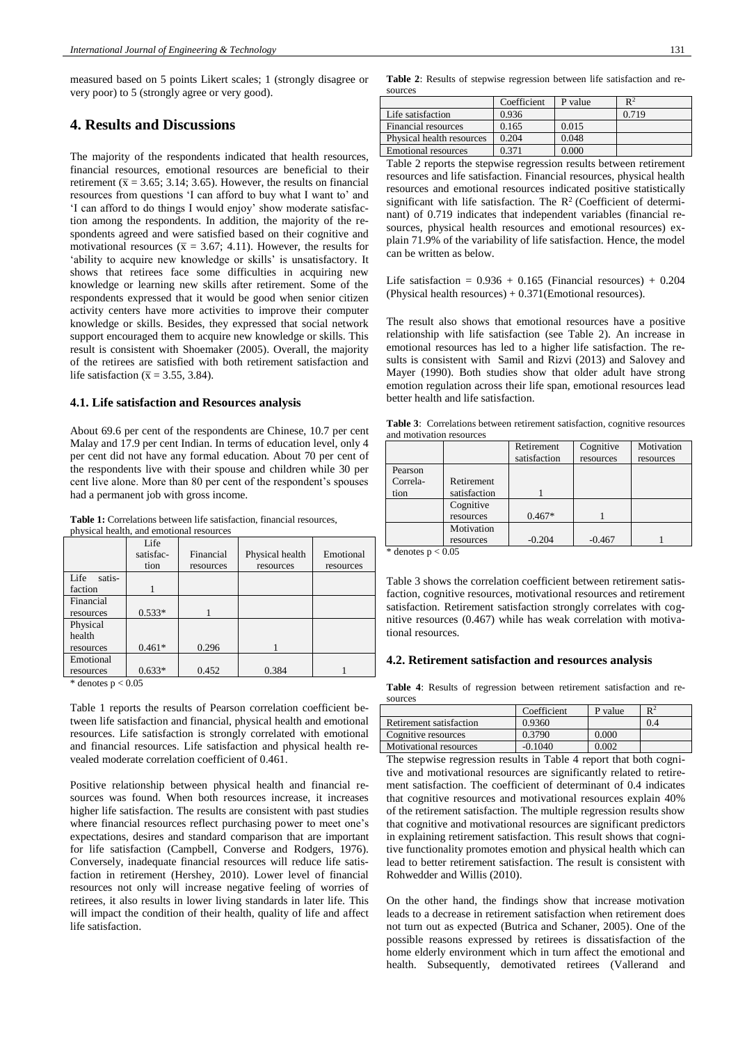measured based on 5 points Likert scales; 1 (strongly disagree or very poor) to 5 (strongly agree or very good).

## **4. Results and Discussions**

The majority of the respondents indicated that health resources, financial resources, emotional resources are beneficial to their retirement ( $\bar{x}$  = 3.65; 3.14; 3.65). However, the results on financial resources from questions 'I can afford to buy what I want to' and 'I can afford to do things I would enjoy' show moderate satisfaction among the respondents. In addition, the majority of the respondents agreed and were satisfied based on their cognitive and motivational resources ( $\bar{x}$  = 3.67; 4.11). However, the results for 'ability to acquire new knowledge or skills' is unsatisfactory. It shows that retirees face some difficulties in acquiring new knowledge or learning new skills after retirement. Some of the respondents expressed that it would be good when senior citizen activity centers have more activities to improve their computer knowledge or skills. Besides, they expressed that social network support encouraged them to acquire new knowledge or skills. This result is consistent with Shoemaker (2005). Overall, the majority of the retirees are satisfied with both retirement satisfaction and life satisfaction ( $\bar{x}$  = 3.55, 3.84).

#### **4.1. Life satisfaction and Resources analysis**

About 69.6 per cent of the respondents are Chinese, 10.7 per cent Malay and 17.9 per cent Indian. In terms of education level, only 4 per cent did not have any formal education. About 70 per cent of the respondents live with their spouse and children while 30 per cent live alone. More than 80 per cent of the respondent's spouses had a permanent job with gross income.

**Table 1:** Correlations between life satisfaction, financial resources, physical health, and emotional resources

|                | Life      |           |                 |           |
|----------------|-----------|-----------|-----------------|-----------|
|                | satisfac- | Financial | Physical health | Emotional |
|                | tion      | resources | resources       | resources |
| Life<br>satis- |           |           |                 |           |
| faction        |           |           |                 |           |
| Financial      |           |           |                 |           |
| resources      | $0.533*$  |           |                 |           |
| Physical       |           |           |                 |           |
| health         |           |           |                 |           |
| resources      | $0.461*$  | 0.296     |                 |           |
| Emotional      |           |           |                 |           |
| resources      | $0.633*$  | 0.452     | 0.384           |           |

\* denotes  $p < 0.05$ 

Table 1 reports the results of Pearson correlation coefficient between life satisfaction and financial, physical health and emotional resources. Life satisfaction is strongly correlated with emotional and financial resources. Life satisfaction and physical health revealed moderate correlation coefficient of 0.461.

Positive relationship between physical health and financial resources was found. When both resources increase, it increases higher life satisfaction. The results are consistent with past studies where financial resources reflect purchasing power to meet one's expectations, desires and standard comparison that are important for life satisfaction (Campbell, Converse and Rodgers, 1976). Conversely, inadequate financial resources will reduce life satisfaction in retirement (Hershey, 2010). Lower level of financial resources not only will increase negative feeling of worries of retirees, it also results in lower living standards in later life. This will impact the condition of their health, quality of life and affect life satisfaction.

**Table 2**: Results of stepwise regression between life satisfaction and resources

|                            | Coefficient | P value | $R^2$ |
|----------------------------|-------------|---------|-------|
| Life satisfaction          | 0.936       |         | 0.719 |
| Financial resources        | 0.165       | 0.015   |       |
| Physical health resources  | 0.204       | 0.048   |       |
| <b>Emotional resources</b> | 0.371       | 0.000   |       |

Table 2 reports the stepwise regression results between retirement resources and life satisfaction. Financial resources, physical health resources and emotional resources indicated positive statistically significant with life satisfaction. The  $\mathbb{R}^2$  (Coefficient of determinant) of 0.719 indicates that independent variables (financial resources, physical health resources and emotional resources) explain 71.9% of the variability of life satisfaction. Hence, the model can be written as below.

Life satisfaction =  $0.936 + 0.165$  (Financial resources) + 0.204 (Physical health resources) + 0.371(Emotional resources).

The result also shows that emotional resources have a positive relationship with life satisfaction (see Table 2). An increase in emotional resources has led to a higher life satisfaction. The results is consistent with Samil and Rizvi (2013) and Salovey and Mayer (1990). Both studies show that older adult have strong emotion regulation across their life span, emotional resources lead better health and life satisfaction.

**Table 3**: Correlations between retirement satisfaction, cognitive resources and motivation resources

|          |              | Retirement   | Cognitive | Motivation |
|----------|--------------|--------------|-----------|------------|
|          |              | satisfaction | resources | resources  |
| Pearson  |              |              |           |            |
| Correla- | Retirement   |              |           |            |
| tion     | satisfaction |              |           |            |
|          | Cognitive    |              |           |            |
|          | resources    | $0.467*$     |           |            |
|          | Motivation   |              |           |            |
|          | resources    | $-0.204$     | $-0.467$  |            |

\* denotes  $p < 0.05$ 

Table 3 shows the correlation coefficient between retirement satisfaction, cognitive resources, motivational resources and retirement satisfaction. Retirement satisfaction strongly correlates with cognitive resources (0.467) while has weak correlation with motivational resources.

#### **4.2. Retirement satisfaction and resources analysis**

**Table 4**: Results of regression between retirement satisfaction and resources

|                         | Coefficient | P value | $\mathbb{R}^2$ |
|-------------------------|-------------|---------|----------------|
| Retirement satisfaction | 0.9360      |         | 0.4            |
| Cognitive resources     | 0.3790      | 0.000   |                |
| Motivational resources  | $-0.1040$   | 0.002   |                |

The stepwise regression results in Table 4 report that both cognitive and motivational resources are significantly related to retirement satisfaction. The coefficient of determinant of 0.4 indicates that cognitive resources and motivational resources explain 40% of the retirement satisfaction. The multiple regression results show that cognitive and motivational resources are significant predictors in explaining retirement satisfaction. This result shows that cognitive functionality promotes emotion and physical health which can lead to better retirement satisfaction. The result is consistent with Rohwedder and Willis (2010).

On the other hand, the findings show that increase motivation leads to a decrease in retirement satisfaction when retirement does not turn out as expected (Butrica and Schaner, 2005). One of the possible reasons expressed by retirees is dissatisfaction of the home elderly environment which in turn affect the emotional and health. Subsequently, demotivated retirees (Vallerand and